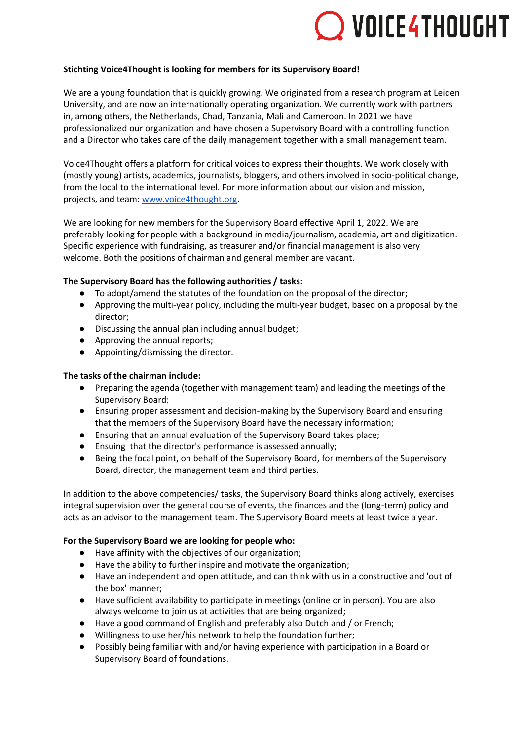# VOICE4THOUGHT

## **Stichting Voice4Thought is looking for members for its Supervisory Board!**

We are a young foundation that is quickly growing. We originated from a research program at Leiden University, and are now an internationally operating organization. We currently work with partners in, among others, the Netherlands, Chad, Tanzania, Mali and Cameroon. In 2021 we have professionalized our organization and have chosen a Supervisory Board with a controlling function and a Director who takes care of the daily management together with a small management team.

Voice4Thought offers a platform for critical voices to express their thoughts. We work closely with (mostly young) artists, academics, journalists, bloggers, and others involved in socio-political change, from the local to the international level. For more information about our vision and mission, projects, and team: [www.voice4thought.org.](http://www.voice4thought.org/)

We are looking for new members for the Supervisory Board effective April 1, 2022. We are preferably looking for people with a background in media/journalism, academia, art and digitization. Specific experience with fundraising, as treasurer and/or financial management is also very welcome. Both the positions of chairman and general member are vacant.

## **The Supervisory Board has the following authorities / tasks:**

- To adopt/amend the statutes of the foundation on the proposal of the director;
- Approving the multi-year policy, including the multi-year budget, based on a proposal by the director;
- Discussing the annual plan including annual budget;
- Approving the annual reports;
- Appointing/dismissing the director.

#### **The tasks of the chairman include:**

- Preparing the agenda (together with management team) and leading the meetings of the Supervisory Board;
- Ensuring proper assessment and decision-making by the Supervisory Board and ensuring that the members of the Supervisory Board have the necessary information;
- Ensuring that an annual evaluation of the Supervisory Board takes place;
- Ensuing that the director's performance is assessed annually;
- Being the focal point, on behalf of the Supervisory Board, for members of the Supervisory Board, director, the management team and third parties.

In addition to the above competencies/ tasks, the Supervisory Board thinks along actively, exercises integral supervision over the general course of events, the finances and the (long-term) policy and acts as an advisor to the management team. The Supervisory Board meets at least twice a year.

#### **For the Supervisory Board we are looking for people who:**

- Have affinity with the objectives of our organization;
- Have the ability to further inspire and motivate the organization;
- Have an independent and open attitude, and can think with us in a constructive and 'out of the box' manner;
- Have sufficient availability to participate in meetings (online or in person). You are also always welcome to join us at activities that are being organized;
- Have a good command of English and preferably also Dutch and / or French;
- Willingness to use her/his network to help the foundation further;
- Possibly being familiar with and/or having experience with participation in a Board or Supervisory Board of foundations.